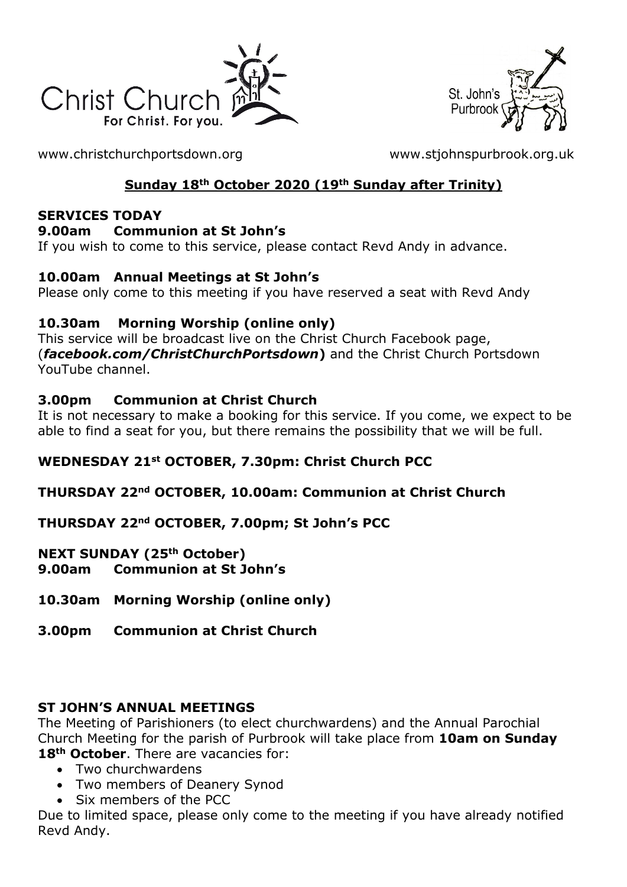



[www.christchurchportsdown.org](http://www.christchurchportsdown.org/) [www.stjohnspurbrook.org.uk](http://www.stjohnspurbrook.org.uk/)

# **Sunday 18th October 2020 (19th Sunday after Trinity)**

#### **SERVICES TODAY**

#### **9.00am Communion at St John's**

If you wish to come to this service, please contact Revd Andy in advance.

## **10.00am Annual Meetings at St John's**

Please only come to this meeting if you have reserved a seat with Revd Andy

## **10.30am Morning Worship (online only)**

This service will be broadcast live on the Christ Church Facebook page, (*facebook.com/ChristChurchPortsdown***)** and the Christ Church Portsdown YouTube channel.

## **3.00pm Communion at Christ Church**

It is not necessary to make a booking for this service. If you come, we expect to be able to find a seat for you, but there remains the possibility that we will be full.

# **WEDNESDAY 21st OCTOBER, 7.30pm: Christ Church PCC**

## **THURSDAY 22nd OCTOBER, 10.00am: Communion at Christ Church**

# **THURSDAY 22nd OCTOBER, 7.00pm; St John's PCC**

**NEXT SUNDAY (25th October) 9.00am Communion at St John's**

## **10.30am Morning Worship (online only)**

**3.00pm Communion at Christ Church**

## **ST JOHN'S ANNUAL MEETINGS**

The Meeting of Parishioners (to elect churchwardens) and the Annual Parochial Church Meeting for the parish of Purbrook will take place from **10am on Sunday 18th October**. There are vacancies for:

- Two churchwardens
- Two members of Deanery Synod
- Six members of the PCC

Due to limited space, please only come to the meeting if you have already notified Revd Andy.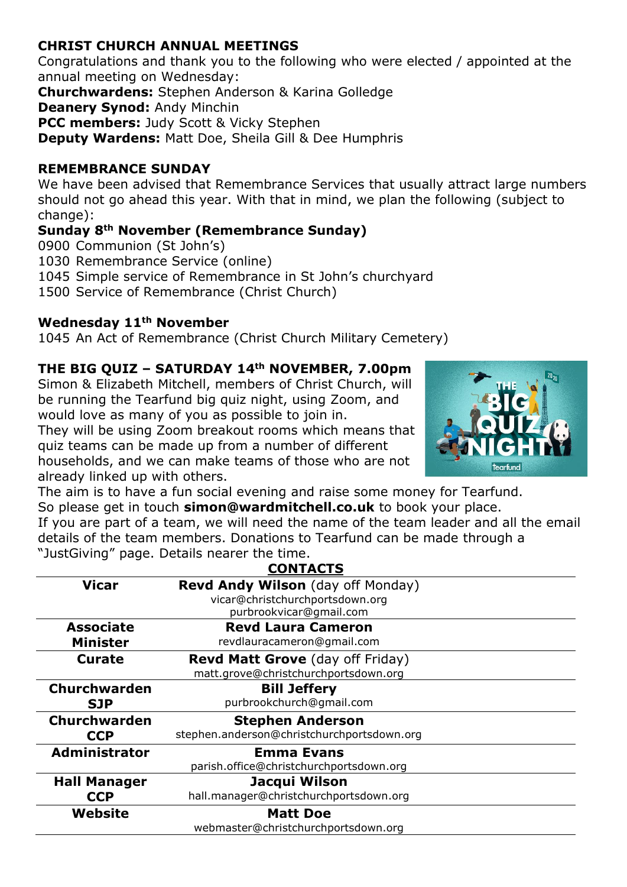### **CHRIST CHURCH ANNUAL MEETINGS**

Congratulations and thank you to the following who were elected / appointed at the annual meeting on Wednesday:

**Churchwardens:** Stephen Anderson & Karina Golledge

**Deanery Synod:** Andy Minchin

**PCC members:** Judy Scott & Vicky Stephen

**Deputy Wardens:** Matt Doe, Sheila Gill & Dee Humphris

#### **REMEMBRANCE SUNDAY**

We have been advised that Remembrance Services that usually attract large numbers should not go ahead this year. With that in mind, we plan the following (subject to change):

## **Sunday 8th November (Remembrance Sunday)**

0900 Communion (St John's)

1030 Remembrance Service (online)

1045 Simple service of Remembrance in St John's churchyard

1500 Service of Remembrance (Christ Church)

#### **Wednesday 11th November**

1045 An Act of Remembrance (Christ Church Military Cemetery)

## **THE BIG QUIZ – SATURDAY 14th NOVEMBER, 7.00pm**

Simon & Elizabeth Mitchell, members of Christ Church, will be running the Tearfund big quiz night, using Zoom, and would love as many of you as possible to join in.

They will be using Zoom breakout rooms which means that quiz teams can be made up from a number of different households, and we can make teams of those who are not already linked up with others.



The aim is to have a fun social evening and raise some money for Tearfund. So please get in touch **[simon@wardmitchell.co.uk](mailto:simon@wardmitchell.co.uk)** to book your place. If you are part of a team, we will need the name of the team leader and all the email details of the team members. Donations to Tearfund can be made through a "JustGiving" page. Details nearer the time.

| <b>CONTACTS</b>      |                                                                             |
|----------------------|-----------------------------------------------------------------------------|
| <b>Vicar</b>         | <b>Revd Andy Wilson</b> (day off Monday)<br>vicar@christchurchportsdown.org |
|                      | purbrookvicar@gmail.com                                                     |
| <b>Associate</b>     | <b>Revd Laura Cameron</b>                                                   |
| <b>Minister</b>      | revdlauracameron@gmail.com                                                  |
| Curate               | <b>Revd Matt Grove</b> (day off Friday)                                     |
|                      | matt.grove@christchurchportsdown.org                                        |
| Churchwarden         | <b>Bill Jeffery</b>                                                         |
| <b>SJP</b>           | purbrookchurch@gmail.com                                                    |
| <b>Churchwarden</b>  | <b>Stephen Anderson</b>                                                     |
| <b>CCP</b>           | stephen.anderson@christchurchportsdown.org                                  |
| <b>Administrator</b> | <b>Emma Evans</b>                                                           |
|                      | parish.office@christchurchportsdown.org                                     |
| <b>Hall Manager</b>  | Jacqui Wilson                                                               |
| <b>CCP</b>           | hall.manager@christchurchportsdown.org                                      |
| Website              | <b>Matt Doe</b>                                                             |
|                      | webmaster@christchurchportsdown.org                                         |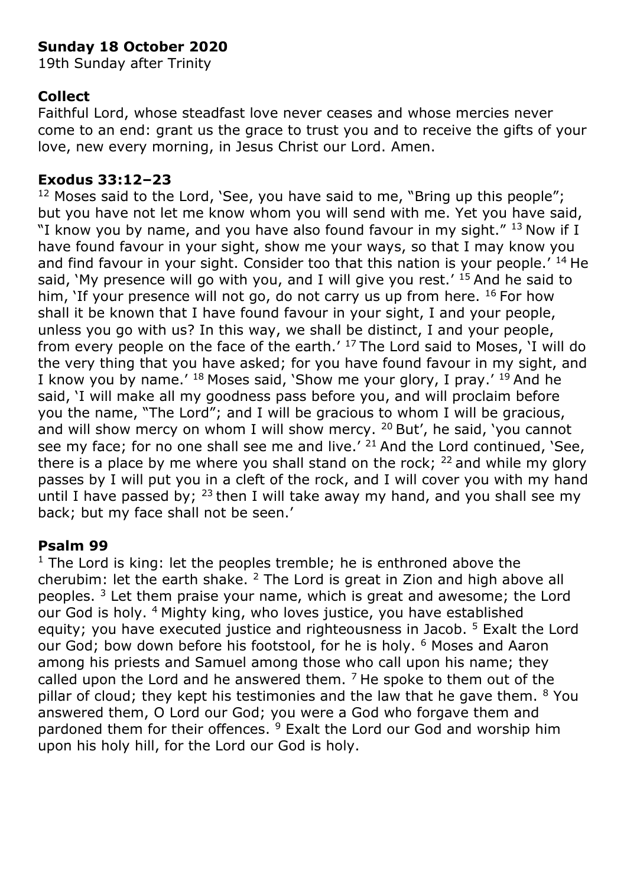# **Sunday 18 October 2020**

19th Sunday after Trinity

# **Collect**

Faithful Lord, whose steadfast love never ceases and whose mercies never come to an end: grant us the grace to trust you and to receive the gifts of your love, new every morning, in Jesus Christ our Lord. Amen.

## **Exodus 33:12–23**

<sup>12</sup> Moses said to the Lord, 'See, you have said to me, "Bring up this people"; but you have not let me know whom you will send with me. Yet you have said, "I know you by name, and you have also found favour in my sight."  $13$  Now if I have found favour in your sight, show me your ways, so that I may know you and find favour in your sight. Consider too that this nation is your people.<sup> $14$ </sup> He said, 'My presence will go with you, and I will give you rest.'  $15$  And he said to him, 'If your presence will not go, do not carry us up from here.  $16$  For how shall it be known that I have found favour in your sight, I and your people, unless you go with us? In this way, we shall be distinct, I and your people, from every people on the face of the earth.'  $17$  The Lord said to Moses, 'I will do the very thing that you have asked; for you have found favour in my sight, and I know you by name.'  $^{18}$  Moses said, 'Show me your glory, I pray.'  $^{19}$  And he said, 'I will make all my goodness pass before you, and will proclaim before you the name, "The Lord"; and I will be gracious to whom I will be gracious, and will show mercy on whom I will show mercy.  $20$  But', he said, 'you cannot see my face; for no one shall see me and live.'  $21$  And the Lord continued, 'See, there is a place by me where you shall stand on the rock;  $^{22}$  and while my glory passes by I will put you in a cleft of the rock, and I will cover you with my hand until I have passed by;  $^{23}$  then I will take away my hand, and you shall see my back; but my face shall not be seen.'

## **Psalm 99**

 $1$  The Lord is king: let the peoples tremble; he is enthroned above the cherubim: let the earth shake.  $2$  The Lord is great in Zion and high above all peoples. <sup>3</sup> Let them praise your name, which is great and awesome; the Lord our God is holy. <sup>4</sup> Mighty king, who loves justice, you have established equity; you have executed justice and righteousness in Jacob. <sup>5</sup> Exalt the Lord our God; bow down before his footstool, for he is holy. <sup>6</sup> Moses and Aaron among his priests and Samuel among those who call upon his name; they called upon the Lord and he answered them.  $<sup>7</sup>$  He spoke to them out of the</sup> pillar of cloud; they kept his testimonies and the law that he gave them. <sup>8</sup> You answered them, O Lord our God; you were a God who forgave them and pardoned them for their offences. <sup>9</sup> Exalt the Lord our God and worship him upon his holy hill, for the Lord our God is holy.